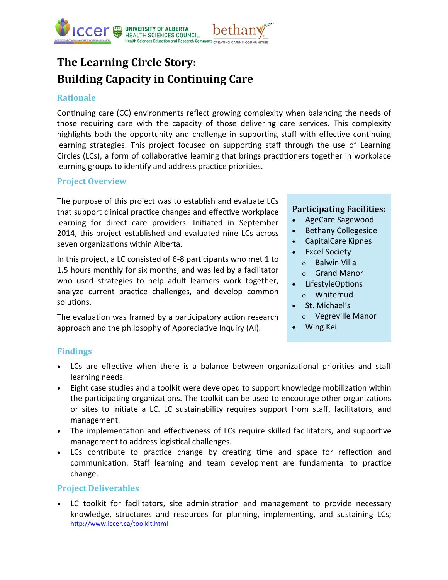

# **The Learning Circle Story: Building Capacity in Continuing Care**

## **Rationale**

Continuing care (CC) environments reflect growing complexity when balancing the needs of those requiring care with the capacity of those delivering care services. This complexity highlights both the opportunity and challenge in supporting staff with effective continuing learning strategies. This project focused on supporting staff through the use of Learning Circles (LCs), a form of collaborative learning that brings practitioners together in workplace learning groups to identify and address practice priorities.

## **Project Overview**

The purpose of this project was to establish and evaluate LCs that support clinical practice changes and effective workplace learning for direct care providers. Initiated in September 2014, this project established and evaluated nine LCs across seven organizations within Alberta.

In this project, a LC consisted of 6-8 participants who met 1 to 1.5 hours monthly for six months, and was led by a facilitator who used strategies to help adult learners work together, analyze current practice challenges, and develop common solutions.

The evaluation was framed by a participatory action research approach and the philosophy of Appreciative Inquiry (AI).

## **Participating Facilities:**

- AgeCare Sagewood
- Bethany Collegeside
- CapitalCare Kipnes
- Excel Society Balwin Villa
	- Grand Manor
- LifestyleOptions
- Whitemud
- St. Michael's
	- Vegreville Manor
- Wing Kei

# **Findings**

- LCs are effective when there is a balance between organizational priorities and staff learning needs.
- Eight case studies and a toolkit were developed to support knowledge mobilization within the participating organizations. The toolkit can be used to encourage other organizations or sites to initiate a LC. LC sustainability requires support from staff, facilitators, and management.
- The implementation and effectiveness of LCs require skilled facilitators, and supportive management to address logistical challenges.
- LCs contribute to practice change by creating time and space for reflection and communication. Staff learning and team development are fundamental to practice change.

## **Project Deliverables**

 LC toolkit for facilitators, site administration and management to provide necessary knowledge, structures and resources for planning, implementing, and sustaining LCs; <http://www.iccer.ca/toolkit.html>